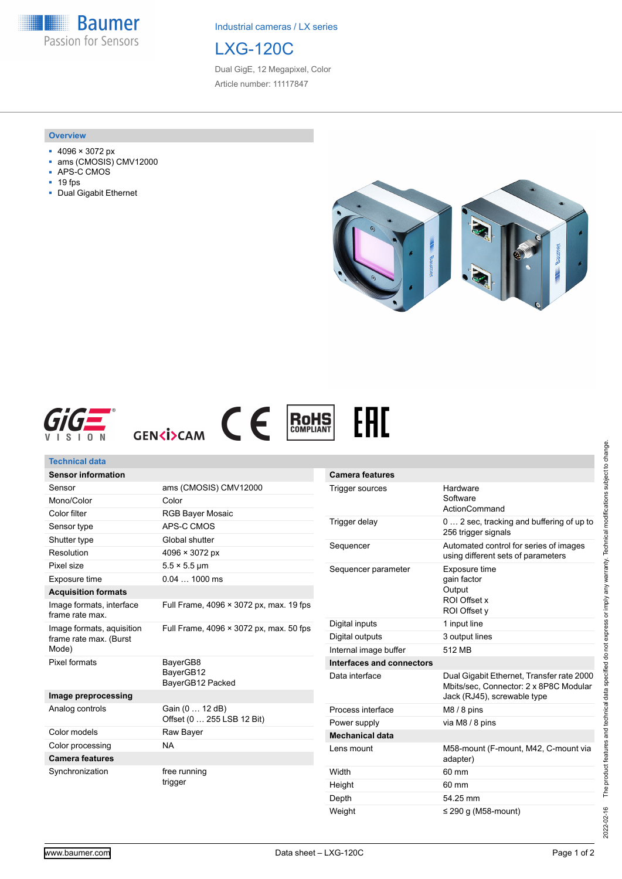**Baumer** Passion for Sensors

Industrial cameras / LX series



Dual GigE, 12 Megapixel, Color Article number: 11117847

#### **Overview**

- 4096 × 3072 px
- ams (CMOSIS) CMV12000
- APS-C CMOS
- 19 fps
- Dual Gigabit Ethernet









| <b>Technical data</b>                               |                                         |                                      |                                   |
|-----------------------------------------------------|-----------------------------------------|--------------------------------------|-----------------------------------|
| <b>Sensor information</b>                           |                                         | <b>Camera features</b>               |                                   |
| Sensor                                              | ams (CMOSIS) CMV12000                   | Trigger sources                      | Hardware<br>Software              |
| Mono/Color                                          | Color                                   |                                      |                                   |
| Color filter                                        | <b>RGB Bayer Mosaic</b>                 |                                      | ActionComma                       |
| Sensor type                                         | APS-C CMOS                              | Trigger delay                        | $02$ sec. trad<br>256 trigger sig |
| Shutter type                                        | Global shutter                          | Sequencer                            | Automated cor                     |
| Resolution                                          | $4096 \times 3072 \text{ px}$           | using different                      |                                   |
| Pixel size                                          | $5.5 \times 5.5$ µm                     | Sequencer parameter<br>Exposure time |                                   |
| Exposure time                                       | $0.041000$ ms                           |                                      | gain factor                       |
| <b>Acquisition formats</b>                          |                                         | Output                               |                                   |
| Image formats, interface<br>frame rate max.         | Full Frame, 4096 × 3072 px, max. 19 fps |                                      | ROI Offset x<br>ROI Offset y      |
| Image formats, aquisition<br>frame rate max. (Burst | Full Frame, 4096 × 3072 px, max. 50 fps | Digital inputs                       | 1 input line                      |
|                                                     |                                         | Digital outputs                      | 3 output lines                    |
| Mode)                                               |                                         | Internal image buffer                | 512 MB                            |
| Pixel formats                                       | BayerGB8                                | Interfaces and connectors            |                                   |
|                                                     | BayerGB12<br>BayerGB12 Packed           | Data interface                       | Dual Gigabit E<br>Mbits/sec, Cor  |
| Image preprocessing                                 |                                         |                                      | Jack (RJ45), s                    |
| Analog controls                                     | Gain (0  12 dB)                         | Process interface                    | M8 / 8 pins                       |
|                                                     | Offset (0  255 LSB 12 Bit)              | Power supply                         | via M8 / 8 pins                   |
| Color models                                        | Raw Bayer                               | <b>Mechanical data</b>               |                                   |
| Color processing<br><b>Camera features</b>          | <b>NA</b>                               | Lens mount                           | M58-mount (F<br>adapter)          |
| Synchronization                                     | free running<br>trigger                 | Width                                | 60 mm                             |
|                                                     |                                         | Height                               | 60 mm                             |

| <b>Camera features</b>    |                                                                                                                    |
|---------------------------|--------------------------------------------------------------------------------------------------------------------|
| Trigger sources           | Hardware<br>Software<br>ActionCommand                                                                              |
| Trigger delay             | 0 2 sec, tracking and buffering of up to<br>256 trigger signals                                                    |
| Sequencer                 | Automated control for series of images<br>using different sets of parameters                                       |
| Sequencer parameter       | Exposure time<br>gain factor<br>Output<br>ROI Offset x<br>ROI Offset y                                             |
| Digital inputs            | 1 input line                                                                                                       |
| Digital outputs           | 3 output lines                                                                                                     |
| Internal image buffer     | 512 MB                                                                                                             |
| Interfaces and connectors |                                                                                                                    |
| Data interface            | Dual Gigabit Ethernet, Transfer rate 2000<br>Mbits/sec. Connector: 2 x 8P8C Modular<br>Jack (RJ45), screwable type |
| Process interface         | $M8/8$ pins                                                                                                        |
| Power supply              | via M8 / 8 pins                                                                                                    |
| <b>Mechanical data</b>    |                                                                                                                    |
| Lens mount                | M58-mount (F-mount, M42, C-mount via<br>adapter)                                                                   |
| Width                     | 60 mm                                                                                                              |
| Height                    | 60 mm                                                                                                              |
| Depth                     | 54.25 mm                                                                                                           |
| Weight                    | $\leq$ 290 g (M58-mount)                                                                                           |